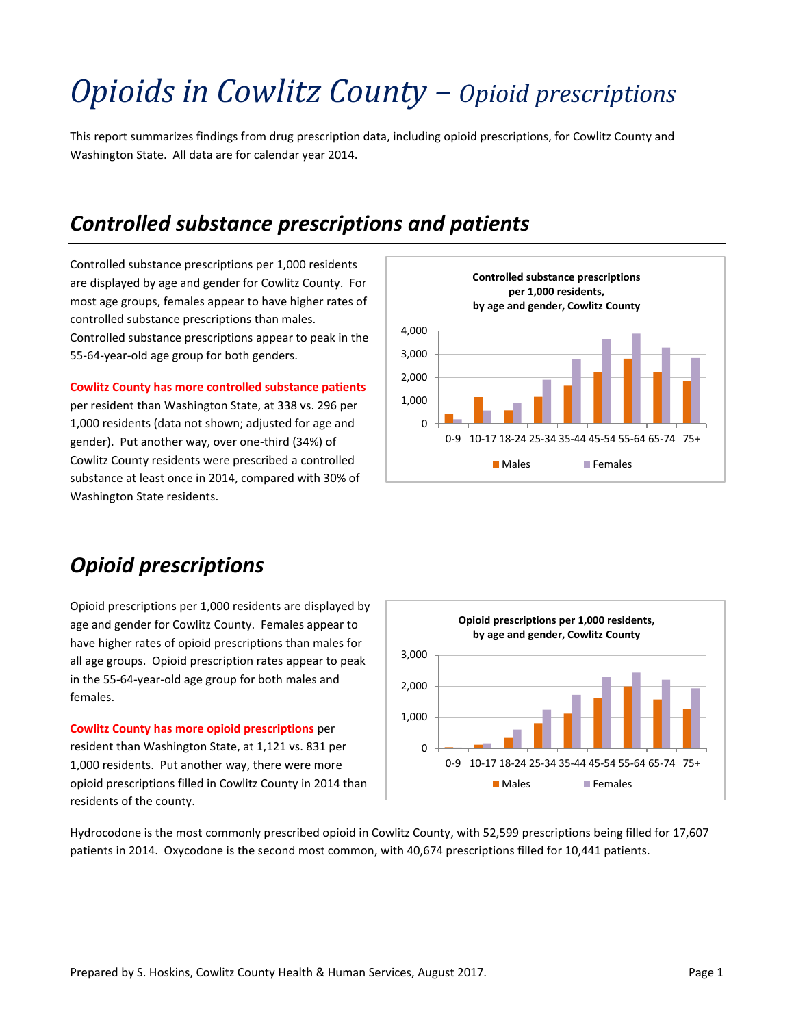# *Opioids in Cowlitz County – Opioid prescriptions*

This report summarizes findings from drug prescription data, including opioid prescriptions, for Cowlitz County and Washington State. All data are for calendar year 2014.

### *Controlled substance prescriptions and patients*

Controlled substance prescriptions per 1,000 residents are displayed by age and gender for Cowlitz County. For most age groups, females appear to have higher rates of controlled substance prescriptions than males. Controlled substance prescriptions appear to peak in the 55-64-year-old age group for both genders.

**Cowlitz County has more controlled substance patients**

per resident than Washington State, at 338 vs. 296 per 1,000 residents (data not shown; adjusted for age and gender). Put another way, over one-third (34%) of Cowlitz County residents were prescribed a controlled substance at least once in 2014, compared with 30% of Washington State residents.



### *Opioid prescriptions*

Opioid prescriptions per 1,000 residents are displayed by age and gender for Cowlitz County. Females appear to have higher rates of opioid prescriptions than males for all age groups. Opioid prescription rates appear to peak in the 55-64-year-old age group for both males and females.

**Cowlitz County has more opioid prescriptions** per resident than Washington State, at 1,121 vs. 831 per 1,000 residents. Put another way, there were more opioid prescriptions filled in Cowlitz County in 2014 than residents of the county.



Hydrocodone is the most commonly prescribed opioid in Cowlitz County, with 52,599 prescriptions being filled for 17,607 patients in 2014. Oxycodone is the second most common, with 40,674 prescriptions filled for 10,441 patients.